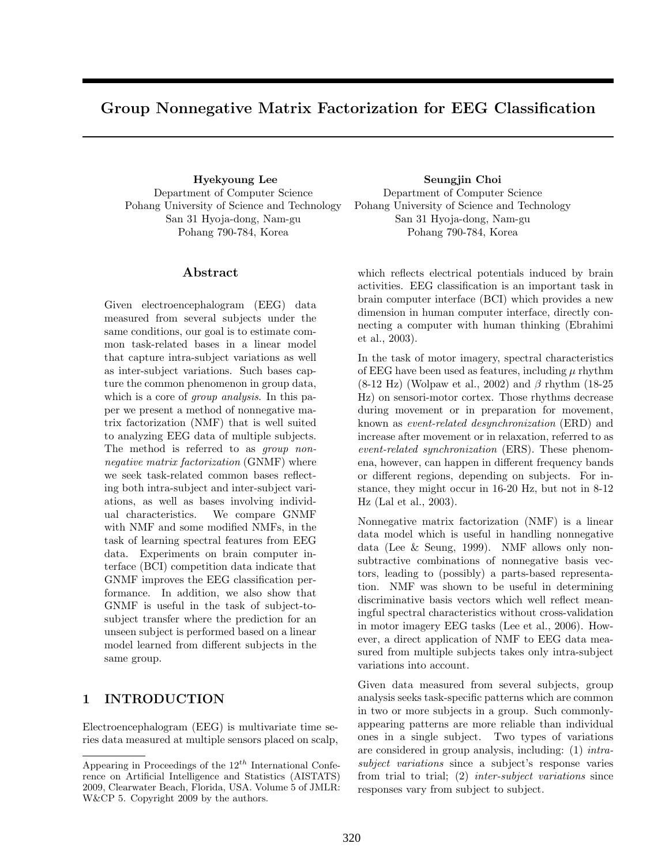# Group Nonnegative Matrix Factorization for EEG Classification

Hyekyoung Lee Department of Computer Science Pohang University of Science and Technology San 31 Hyoja-dong, Nam-gu Pohang 790-784, Korea

### Abstract

Given electroencephalogram (EEG) data measured from several subjects under the same conditions, our goal is to estimate common task-related bases in a linear model that capture intra-subject variations as well as inter-subject variations. Such bases capture the common phenomenon in group data, which is a core of *group analysis*. In this paper we present a method of nonnegative matrix factorization (NMF) that is well suited to analyzing EEG data of multiple subjects. The method is referred to as *group* nonnegative matrix factorization (GNMF) where we seek task-related common bases reflecting both intra-subject and inter-subject variations, as well as bases involving individual characteristics. We compare GNMF with NMF and some modified NMFs, in the task of learning spectral features from EEG data. Experiments on brain computer interface (BCI) competition data indicate that GNMF improves the EEG classification performance. In addition, we also show that GNMF is useful in the task of subject-tosubject transfer where the prediction for an unseen subject is performed based on a linear model learned from different subjects in the same group.

# 1 INTRODUCTION

Electroencephalogram (EEG) is multivariate time series data measured at multiple sensors placed on scalp,

Seungjin Choi Department of Computer Science Pohang University of Science and Technology San 31 Hyoja-dong, Nam-gu Pohang 790-784, Korea

which reflects electrical potentials induced by brain activities. EEG classification is an important task in brain computer interface (BCI) which provides a new dimension in human computer interface, directly connecting a computer with human thinking (Ebrahimi et al., 2003).

In the task of motor imagery, spectral characteristics of EEG have been used as features, including  $\mu$  rhythm  $(8-12 \text{ Hz})$  (Wolpaw et al., 2002) and  $\beta$  rhythm (18-25) Hz) on sensori-motor cortex. Those rhythms decrease during movement or in preparation for movement, known as event-related desynchronization (ERD) and increase after movement or in relaxation, referred to as event-related synchronization (ERS). These phenomena, however, can happen in different frequency bands or different regions, depending on subjects. For instance, they might occur in 16-20 Hz, but not in 8-12 Hz (Lal et al., 2003).

Nonnegative matrix factorization (NMF) is a linear data model which is useful in handling nonnegative data (Lee & Seung, 1999). NMF allows only nonsubtractive combinations of nonnegative basis vectors, leading to (possibly) a parts-based representation. NMF was shown to be useful in determining discriminative basis vectors which well reflect meaningful spectral characteristics without cross-validation in motor imagery EEG tasks (Lee et al., 2006). However, a direct application of NMF to EEG data measured from multiple subjects takes only intra-subject variations into account.

Given data measured from several subjects, group analysis seeks task-specific patterns which are common in two or more subjects in a group. Such commonlyappearing patterns are more reliable than individual ones in a single subject. Two types of variations are considered in group analysis, including: (1) intrasubject variations since a subject's response varies from trial to trial; (2) inter-subject variations since responses vary from subject to subject.

Appearing in Proceedings of the  $12^{th}$  International Conference on Artificial Intelligence and Statistics (AISTATS) 2009, Clearwater Beach, Florida, USA. Volume 5 of JMLR: W&CP 5. Copyright 2009 by the authors.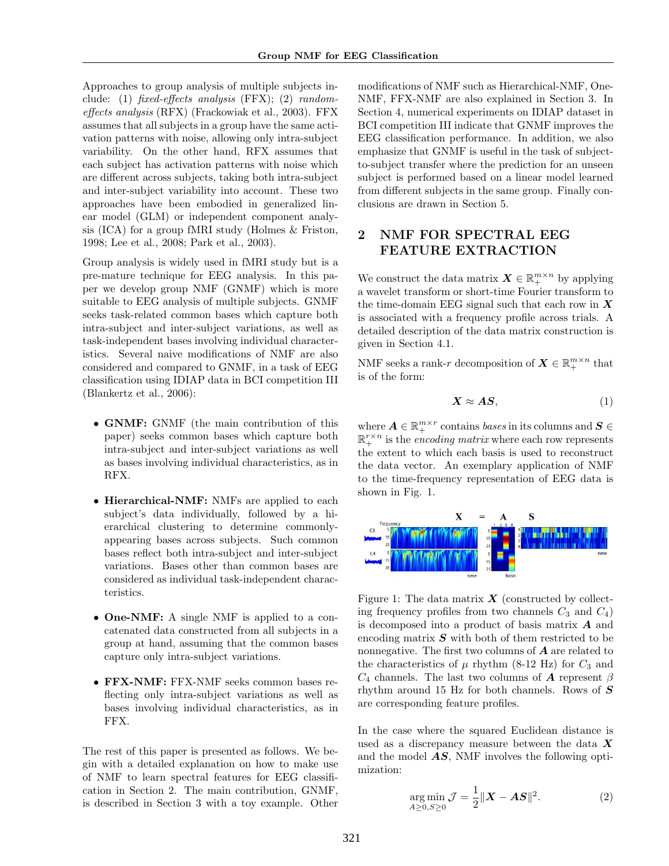Approaches to group analysis of multiple subjects include: (1) fixed-effects analysis (FFX); (2) randomeffects analysis (RFX) (Frackowiak et al., 2003). FFX assumes that all subjects in a group have the same activation patterns with noise, allowing only intra-subject variability. On the other hand, RFX assumes that each subject has activation patterns with noise which are different across subjects, taking both intra-subject and inter-subject variability into account. These two approaches have been embodied in generalized linear model (GLM) or independent component analysis (ICA) for a group fMRI study (Holmes & Friston, 1998; Lee et al., 2008; Park et al., 2003).

Group analysis is widely used in fMRI study but is a pre-mature technique for EEG analysis. In this paper we develop group NMF (GNMF) which is more suitable to EEG analysis of multiple subjects. GNMF seeks task-related common bases which capture both intra-subject and inter-subject variations, as well as task-independent bases involving individual characteristics. Several naive modifications of NMF are also considered and compared to GNMF, in a task of EEG classification using IDIAP data in BCI competition III (Blankertz et al., 2006):

- GNMF: GNMF (the main contribution of this paper) seeks common bases which capture both intra-subject and inter-subject variations as well as bases involving individual characteristics, as in RFX.
- Hierarchical-NMF: NMFs are applied to each subject's data individually, followed by a hierarchical clustering to determine commonlyappearing bases across subjects. Such common bases reflect both intra-subject and inter-subject variations. Bases other than common bases are considered as individual task-independent characteristics.
- One-NMF: A single NMF is applied to a concatenated data constructed from all subjects in a group at hand, assuming that the common bases capture only intra-subject variations.
- FFX-NMF: FFX-NMF seeks common bases reflecting only intra-subject variations as well as bases involving individual characteristics, as in FFX.

The rest of this paper is presented as follows. We begin with a detailed explanation on how to make use of NMF to learn spectral features for EEG classification in Section 2. The main contribution, GNMF, is described in Section 3 with a toy example. Other

modifications of NMF such as Hierarchical-NMF, One-NMF, FFX-NMF are also explained in Section 3. In Section 4, numerical experiments on IDIAP dataset in BCI competition III indicate that GNMF improves the EEG classification performance. In addition, we also emphasize that GNMF is useful in the task of subjectto-subject transfer where the prediction for an unseen subject is performed based on a linear model learned from different subjects in the same group. Finally conclusions are drawn in Section 5.

# 2 NMF FOR SPECTRAL EEG FEATURE EXTRACTION

We construct the data matrix  $\boldsymbol{X} \in \mathbb{R}^{m \times n}_{+}$  by applying a wavelet transform or short-time Fourier transform to the time-domain EEG signal such that each row in  $X$ is associated with a frequency profile across trials. A detailed description of the data matrix construction is given in Section 4.1.

NMF seeks a rank-r decomposition of  $\boldsymbol{X} \in \mathbb{R}^{m \times n}_+$  that is of the form:

$$
X \approx AS,\tag{1}
$$

where  $\mathbf{A} \in \mathbb{R}_+^{m \times r}$  contains *bases* in its columns and  $\mathbf{S} \in \mathbb{R}_+^{r \times n}$  is the *encoding matrix* where each row represents the extent to which each basis is used to reconstruct the data vector. An exemplary application of NMF to the time-frequency representation of EEG data is shown in Fig. 1.



Figure 1: The data matrix  $\boldsymbol{X}$  (constructed by collecting frequency profiles from two channels  $C_3$  and  $C_4$ ) is decomposed into a product of basis matrix  $\boldsymbol{A}$  and encoding matrix  $S$  with both of them restricted to be nonnegative. The first two columns of  $A$  are related to the characteristics of  $\mu$  rhythm (8-12 Hz) for  $C_3$  and  $C_4$  channels. The last two columns of **A** represent  $\beta$ rhythm around 15 Hz for both channels. Rows of  $S$ are corresponding feature profiles.

In the case where the squared Euclidean distance is used as a discrepancy measure between the data  $X$ and the model  $AS$ , NMF involves the following optimization:

$$
\underset{A \ge 0, S \ge 0}{\arg \min} \mathcal{J} = \frac{1}{2} ||\mathbf{X} - \mathbf{A}\mathbf{S}||^2. \tag{2}
$$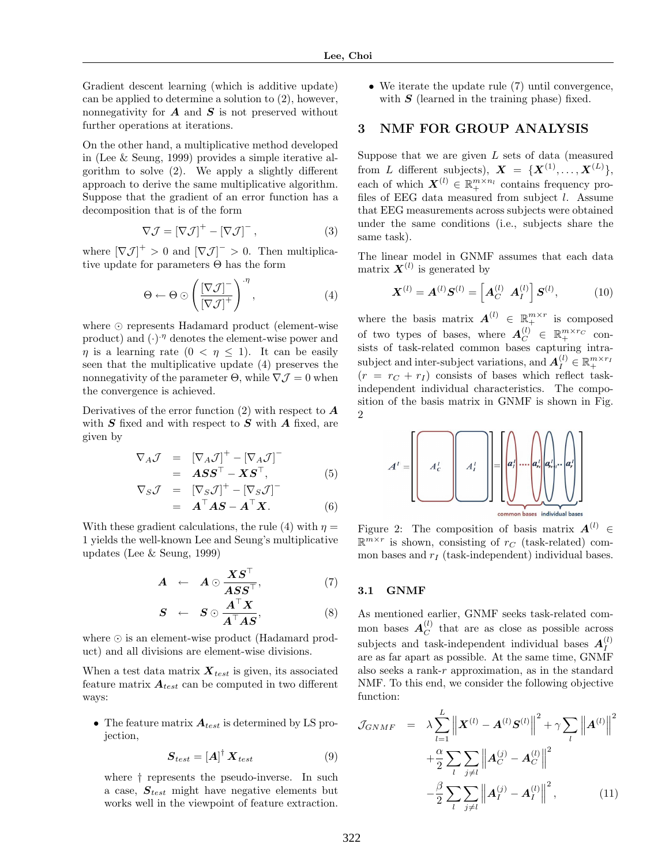Gradient descent learning (which is additive update) can be applied to determine a solution to (2), however, nonnegativity for  $\boldsymbol{A}$  and  $\boldsymbol{S}$  is not preserved without further operations at iterations.

On the other hand, a multiplicative method developed in (Lee & Seung, 1999) provides a simple iterative algorithm to solve (2). We apply a slightly different approach to derive the same multiplicative algorithm. Suppose that the gradient of an error function has a decomposition that is of the form

$$
\nabla \mathcal{J} = [\nabla \mathcal{J}]^{+} - [\nabla \mathcal{J}]^{-}, \qquad (3)
$$

where  $[\nabla \mathcal{J}]^+ > 0$  and  $[\nabla \mathcal{J}]^- > 0$ . Then multiplicative update for parameters Θ has the form

$$
\Theta \leftarrow \Theta \odot \left( \frac{\left[ \nabla \mathcal{J} \right]^{-}}{\left[ \nabla \mathcal{J} \right]^{+}} \right)^{\eta}, \tag{4}
$$

where ⊙ represents Hadamard product (element-wise product) and  $(\cdot)^{\cdot \eta}$  denotes the element-wise power and  $\eta$  is a learning rate  $(0 < \eta \leq 1)$ . It can be easily seen that the multiplicative update (4) preserves the nonnegativity of the parameter  $\Theta$ , while  $\nabla \mathcal{J} = 0$  when the convergence is achieved.

Derivatives of the error function  $(2)$  with respect to  $\boldsymbol{A}$ with  $S$  fixed and with respect to  $S$  with  $A$  fixed, are given by

$$
\nabla_A \mathcal{J} = [\nabla_A \mathcal{J}]^+ - [\nabla_A \mathcal{J}]^-
$$
  
=  $\mathbf{A} \mathbf{S} \mathbf{S}^\top - \mathbf{X} \mathbf{S}^\top,$  (5)

$$
\nabla_S \mathcal{J} = [\nabla_S \mathcal{J}]^+ - [\nabla_S \mathcal{J}]^-
$$
  
=  $\mathbf{A}^\top \mathbf{A} \mathbf{S} - \mathbf{A}^\top \mathbf{X}.$  (6)

With these gradient calculations, the rule (4) with  $\eta =$ 1 yields the well-known Lee and Seung's multiplicative updates (Lee & Seung, 1999)

$$
A \ \leftarrow \ A \odot \frac{X S^{\top}}{A S S^{\top}}, \qquad (7)
$$

$$
S \ \leftarrow \ S \odot \frac{A^{\top} X}{A^{\top} A S}, \tag{8}
$$

where ⊙ is an element-wise product (Hadamard product) and all divisions are element-wise divisions.

When a test data matrix  $\mathbf{X}_{test}$  is given, its associated feature matrix  $A_{test}$  can be computed in two different ways:

• The feature matrix  $A_{test}$  is determined by LS projection,

$$
S_{test} = [A]^{\dagger} X_{test} \tag{9}
$$

where † represents the pseudo-inverse. In such a case,  $S_{test}$  might have negative elements but works well in the viewpoint of feature extraction.

• We iterate the update rule  $(7)$  until convergence, with  $S$  (learned in the training phase) fixed.

### 3 NMF FOR GROUP ANALYSIS

Suppose that we are given  $L$  sets of data (measured from L different subjects),  $\boldsymbol{X} = \{ \boldsymbol{X}^{(1)}, \dots, \boldsymbol{X}^{(L)} \},$ each of which  $\boldsymbol{X}^{(l)} \in \mathbb{R}^{m \times n_l}_{+}$  contains frequency profiles of EEG data measured from subject l. Assume that EEG measurements across subjects were obtained under the same conditions (i.e., subjects share the same task).

The linear model in GNMF assumes that each data matrix  $\boldsymbol{X}^{(l)}$  is generated by

$$
\mathbf{X}^{(l)} = \mathbf{A}^{(l)} \mathbf{S}^{(l)} = \left[ \mathbf{A}_C^{(l)} \ \mathbf{A}_I^{(l)} \right] \mathbf{S}^{(l)}, \tag{10}
$$

where the basis matrix  $A^{(l)} \in \mathbb{R}^{m \times r}_{+}$  is composed of two types of bases, where  $A_C^{(l)} \in \mathbb{R}_+^{m \times r_C}$  consists of task-related common bases capturing intrasubject and inter-subject variations, and  $\boldsymbol{A}_I^{(l)}\in \mathbb{R}_+^{m\times r_I}$  $(r = r_C + r_I)$  consists of bases which reflect taskindependent individual characteristics. The composition of the basis matrix in GNMF is shown in Fig. 2



Figure 2: The composition of basis matrix  $A^{(l)} \in$  $\mathbb{R}^{m \times r}$  is shown, consisting of  $r_C$  (task-related) common bases and  $r_I$  (task-independent) individual bases.

#### 3.1 GNMF

As mentioned earlier, GNMF seeks task-related common bases  $A_C^{(l)}$  that are as close as possible across subjects and task-independent individual bases  $A_I^{(l)}$ are as far apart as possible. At the same time, GNMF also seeks a rank- $r$  approximation, as in the standard NMF. To this end, we consider the following objective function:

$$
\mathcal{J}_{GNMF} = \lambda \sum_{l=1}^{L} \left\| \mathbf{X}^{(l)} - \mathbf{A}^{(l)} \mathbf{S}^{(l)} \right\|^2 + \gamma \sum_{l} \left\| \mathbf{A}^{(l)} \right\|^2
$$

$$
+ \frac{\alpha}{2} \sum_{l} \sum_{j \neq l} \left\| \mathbf{A}_C^{(j)} - \mathbf{A}_C^{(l)} \right\|^2
$$

$$
- \frac{\beta}{2} \sum_{l} \sum_{j \neq l} \left\| \mathbf{A}_I^{(j)} - \mathbf{A}_I^{(l)} \right\|^2, \tag{11}
$$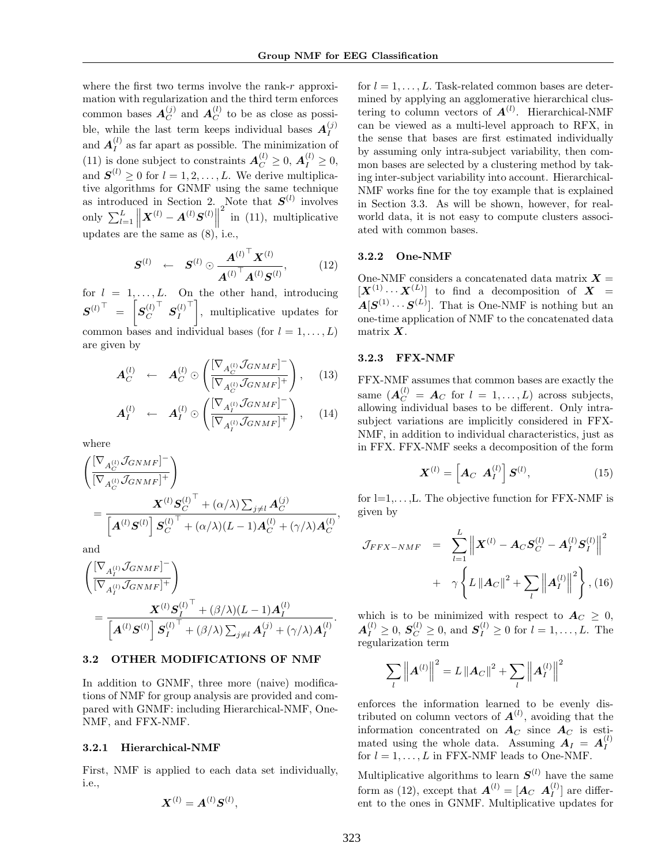where the first two terms involve the rank- $r$  approximation with regularization and the third term enforces common bases  $A_C^{(j)}$  and  $A_C^{(l)}$  to be as close as possible, while the last term keeps individual bases  $A_I^{(j)}$ and  $A_I^{(l)}$  as far apart as possible. The minimization of (11) is done subject to constraints  $A_C^{(l)} \geq 0$ ,  $A_I^{(l)} \geq 0$ , and  $S^{(l)} \geq 0$  for  $l = 1, 2, ..., L$ . We derive multiplicative algorithms for GNMF using the same technique as introduced in Section 2. Note that  $S^{(l)}$  involves only  $\sum_{l=1}^{L} \left\| \boldsymbol{X}^{(l)} - \boldsymbol{A}^{(l)} \boldsymbol{S}^{(l)} \right\|$  $\sum_{i=1}^{2}$  in (11), multiplicative updates are the same as (8), i.e.,

$$
\boldsymbol{S}^{(l)} \quad \leftarrow \quad \boldsymbol{S}^{(l)} \odot \frac{\boldsymbol{A}^{(l)}^\top \boldsymbol{X}^{(l)}}{\boldsymbol{A}^{(l)}^\top \boldsymbol{A}^{(l)} \boldsymbol{S}^{(l)}}, \tag{12}
$$

for  $l = 1, \ldots, L$ . On the other hand, introducing  $\boldsymbol{S}^{(l)}^\top \hspace{0.1cm} = \hspace{0.1cm} \begin{bmatrix} \boldsymbol{S}_C^{(l)} \end{bmatrix}$  $^\top$   $S_I^{(l)}$ ⊤ , multiplicative updates for common bases and individual bases (for  $l = 1, \ldots, L$ ) are given by

$$
\mathbf{A}_{C}^{(l)} \leftarrow \mathbf{A}_{C}^{(l)} \odot \left( \frac{[\nabla_{A_{C}^{(l)}} \mathcal{J}_{GNMF}]^{-}}{[\nabla_{A_{C}^{(l)}} \mathcal{J}_{GNMF}]^{+}} \right), \quad (13)
$$

$$
\mathbf{A}_{I}^{(l)} \leftarrow \mathbf{A}_{I}^{(l)} \odot \left( \frac{[\nabla_{A_{I}^{(l)}} \mathcal{J}_{GNMF}]^{-}}{[\nabla_{A_{I}^{(l)}} \mathcal{J}_{GNMF}]^{+}} \right), \quad (14)
$$

where

$$
\begin{aligned} &\left(\frac{[\nabla_{A_C^{(l)}} \mathcal{J}_{GNMF}]^-}{[\nabla_{A_C^{(l)}} \mathcal{J}_{GNMF}]^+}\right)\\ &=\frac{\boldsymbol{X}^{(l)} \boldsymbol{S}_C^{(l)}}{\left[\boldsymbol{A}^{(l)} \boldsymbol{S}^{(l)}\right] {\boldsymbol{S}_C^{(l)}}^\top +(\alpha/\lambda) \sum_{j\neq l} \boldsymbol{A}_C^{(j)}}\\ &\left[\boldsymbol{A}^{(l)} \boldsymbol{S}^{(l)}\right] {\boldsymbol{S}_C^{(l)}}^\top +(\alpha/\lambda)(L-1) \boldsymbol{A}_C^{(l)}+(\gamma/\lambda) \boldsymbol{A}_C^{(l)}}, \end{aligned}
$$

and

$$
\begin{aligned}\n&\left(\frac{\left[\nabla_{A_I^{(l)}} \mathcal{J}_{GNMF}\right]^-\right.\\
&\left. - \left[\nabla_{A_I^{(l)}} \mathcal{J}_{GNMF}\right]^+\right)\n\end{aligned}
$$
\n
$$
= \frac{\mathbf{X}^{(l)} \mathbf{S}_I^{(l)\top} + (\beta/\lambda)(L-1) \mathbf{A}_I^{(l)}}{\left[\mathbf{A}^{(l)} \mathbf{S}^{(l)}\right] \mathbf{S}_I^{(l)\top} + (\beta/\lambda) \sum_{j \neq l} \mathbf{A}_I^{(j)} + (\gamma/\lambda) \mathbf{A}_I^{(l)}}.
$$

#### 3.2 OTHER MODIFICATIONS OF NMF

In addition to GNMF, three more (naive) modifications of NMF for group analysis are provided and compared with GNMF: including Hierarchical-NMF, One-NMF, and FFX-NMF.

#### 3.2.1 Hierarchical-NMF

First, NMF is applied to each data set individually, i.e.,

$$
\boldsymbol{X}^{(l)} = \boldsymbol{A}^{(l)} \boldsymbol{S}^{(l)},
$$

for  $l = 1, \ldots, L$ . Task-related common bases are determined by applying an agglomerative hierarchical clustering to column vectors of  $A^{(l)}$ . Hierarchical-NMF can be viewed as a multi-level approach to RFX, in the sense that bases are first estimated individually by assuming only intra-subject variability, then common bases are selected by a clustering method by taking inter-subject variability into account. Hierarchical-NMF works fine for the toy example that is explained in Section 3.3. As will be shown, however, for realworld data, it is not easy to compute clusters associated with common bases.

#### 3.2.2 One-NMF

One-NMF considers a concatenated data matrix  $X =$  $[X^{(1)} \cdots X^{(L)}]$  to find a decomposition of  $X =$  $\mathbf{A}[\mathbf{S}^{(1)}\cdots\mathbf{S}^{(L)}]$ . That is One-NMF is nothing but an one-time application of NMF to the concatenated data matrix  $X$ .

### 3.2.3 FFX-NMF

FFX-NMF assumes that common bases are exactly the same  $(\mathbf{A}_C^{(l)} = \mathbf{A}_C \text{ for } l = 1, ..., L)$  across subjects, allowing individual bases to be different. Only intrasubject variations are implicitly considered in FFX-NMF, in addition to individual characteristics, just as in FFX. FFX-NMF seeks a decomposition of the form

$$
\boldsymbol{X}^{(l)} = \left[ \boldsymbol{A}_C \ \boldsymbol{A}_I^{(l)} \right] \boldsymbol{S}^{(l)}, \tag{15}
$$

for  $l=1,\ldots,L$ . The objective function for FFX-NMF is given by

$$
\mathcal{J}_{FFX-NMF} = \sum_{l=1}^{L} \left\| \boldsymbol{X}^{(l)} - \boldsymbol{A}_{C} \boldsymbol{S}_{C}^{(l)} - \boldsymbol{A}_{I}^{(l)} \boldsymbol{S}_{I}^{(l)} \right\|^{2} + \gamma \left\{ L \left\| \boldsymbol{A}_{C} \right\|^{2} + \sum_{l} \left\| \boldsymbol{A}_{I}^{(l)} \right\|^{2} \right\}, (16)
$$

which is to be minimized with respect to  $A_C \geq 0$ ,  $A_I^{(l)} \geq 0, S_C^{(l)} \geq 0, \text{ and } S_I^{(l)} \geq 0 \text{ for } l = 1, ..., L.$  The regularization term

$$
\sum_{l} \left\| \boldsymbol{A}^{(l)} \right\|^{2} = L \left\| \boldsymbol{A}_{C} \right\|^{2} + \sum_{l} \left\| \boldsymbol{A}_{I}^{(l)} \right\|^{2}
$$

enforces the information learned to be evenly distributed on column vectors of  $A^{(l)}$ , avoiding that the information concentrated on  $A_C$  since  $A_C$  is estimated using the whole data. Assuming  $A_I = A_I^{(l)}$ for  $l = 1, \ldots, L$  in FFX-NMF leads to One-NMF.

Multiplicative algorithms to learn  $S^{(l)}$  have the same form as (12), except that  $\boldsymbol{A}^{(l)} = [\boldsymbol{A}_C \ \boldsymbol{A}_I^{(l)}]$  are different to the ones in GNMF. Multiplicative updates for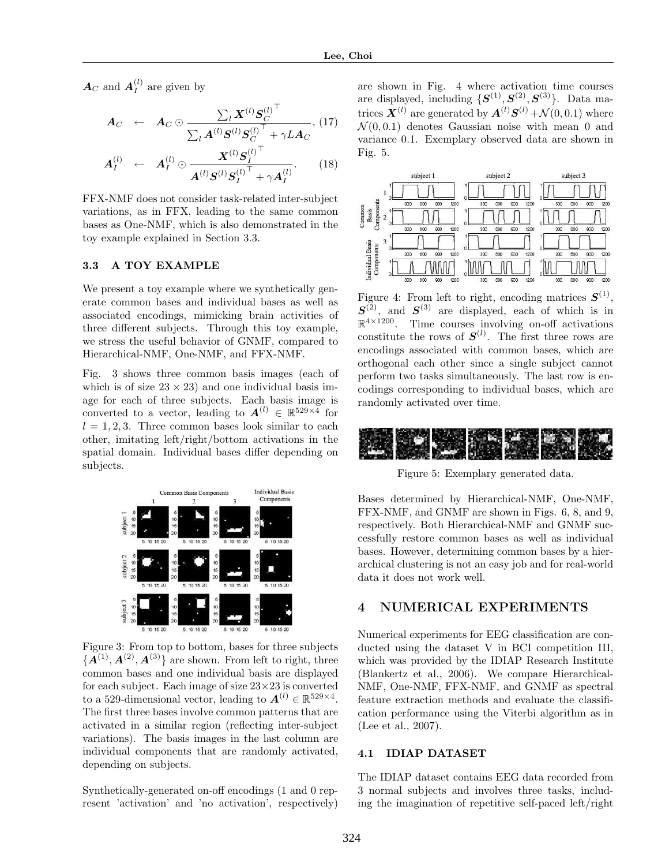$\boldsymbol{A}_C$  and  $\boldsymbol{A}_I^{(l)}$  are given by

$$
\mathbf{A}_{C} \quad \leftarrow \quad \mathbf{A}_{C} \odot \frac{\sum_{l} \mathbf{X}^{(l)} \mathbf{S}_{C}^{(l)}}{\sum_{l} \mathbf{A}^{(l)} \mathbf{S}_{C}^{(l)} \mathbf{S}_{C}^{(l)}}^{\top} + \gamma L \mathbf{A}_{C}}, \, (17)
$$

$$
\mathbf{A}_{I}^{(l)} \leftarrow \mathbf{A}_{I}^{(l)} \odot \frac{\mathbf{X}^{(l)} \mathbf{S}_{I}^{(l)}}{\mathbf{A}^{(l)} \mathbf{S}^{(l)} \mathbf{S}_{I}^{(l)}} + \gamma \mathbf{A}_{I}^{(l)}.
$$
 (18)

FFX-NMF does not consider task-related inter-subject variations, as in FFX, leading to the same common bases as One-NMF, which is also demonstrated in the toy example explained in Section 3.3.

### 3.3 A TOY EXAMPLE

We present a toy example where we synthetically generate common bases and individual bases as well as associated encodings, mimicking brain activities of three different subjects. Through this toy example, we stress the useful behavior of GNMF, compared to Hierarchical-NMF, One-NMF, and FFX-NMF.

Fig. 3 shows three common basis images (each of which is of size  $23 \times 23$ ) and one individual basis image for each of three subjects. Each basis image is converted to a vector, leading to  $A^{(l)} \in \mathbb{R}^{529 \times 4}$  for  $l = 1, 2, 3$ . Three common bases look similar to each other, imitating left/right/bottom activations in the spatial domain. Individual bases differ depending on subjects.



Figure 3: From top to bottom, bases for three subjects  ${A}^{(1)}, A^{(2)}, A^{(3)}$  are shown. From left to right, three common bases and one individual basis are displayed for each subject. Each image of size  $23\times23$  is converted to a 529-dimensional vector, leading to  $A^{(l)} \in \mathbb{R}^{529 \times 4}$ . The first three bases involve common patterns that are activated in a similar region (reflecting inter-subject variations). The basis images in the last column are individual components that are randomly activated, depending on subjects.

Synthetically-generated on-off encodings (1 and 0 represent 'activation' and 'no activation', respectively) are shown in Fig. 4 where activation time courses are displayed, including  $\{S^{(1)}, S^{(2)}, S^{(3)}\}$ . Data matrices  $\boldsymbol{X}^{(l)}$  are generated by  $\boldsymbol{A}^{(l)}\boldsymbol{S}^{(l)}$  +  $\mathcal{N}(0,0.1)$  where  $\mathcal{N}(0, 0.1)$  denotes Gaussian noise with mean 0 and variance 0.1. Exemplary observed data are shown in Fig. 5.



Figure 4: From left to right, encoding matrices  $S^{(1)}$ ,  $S^{(2)}$ , and  $S^{(3)}$  are displayed, each of which is in  $\mathbb{R}^{4\times1200}$ . Time courses involving on-off activations constitute the rows of  $S^{(l)}$ . The first three rows are encodings associated with common bases, which are orthogonal each other since a single subject cannot perform two tasks simultaneously. The last row is encodings corresponding to individual bases, which are randomly activated over time.



Figure 5: Exemplary generated data.

Bases determined by Hierarchical-NMF, One-NMF, FFX-NMF, and GNMF are shown in Figs. 6, 8, and 9, respectively. Both Hierarchical-NMF and GNMF successfully restore common bases as well as individual bases. However, determining common bases by a hierarchical clustering is not an easy job and for real-world data it does not work well.

# 4 NUMERICAL EXPERIMENTS

Numerical experiments for EEG classification are conducted using the dataset V in BCI competition III, which was provided by the IDIAP Research Institute (Blankertz et al., 2006). We compare Hierarchical-NMF, One-NMF, FFX-NMF, and GNMF as spectral feature extraction methods and evaluate the classification performance using the Viterbi algorithm as in (Lee et al., 2007).

### 4.1 IDIAP DATASET

The IDIAP dataset contains EEG data recorded from 3 normal subjects and involves three tasks, including the imagination of repetitive self-paced left/right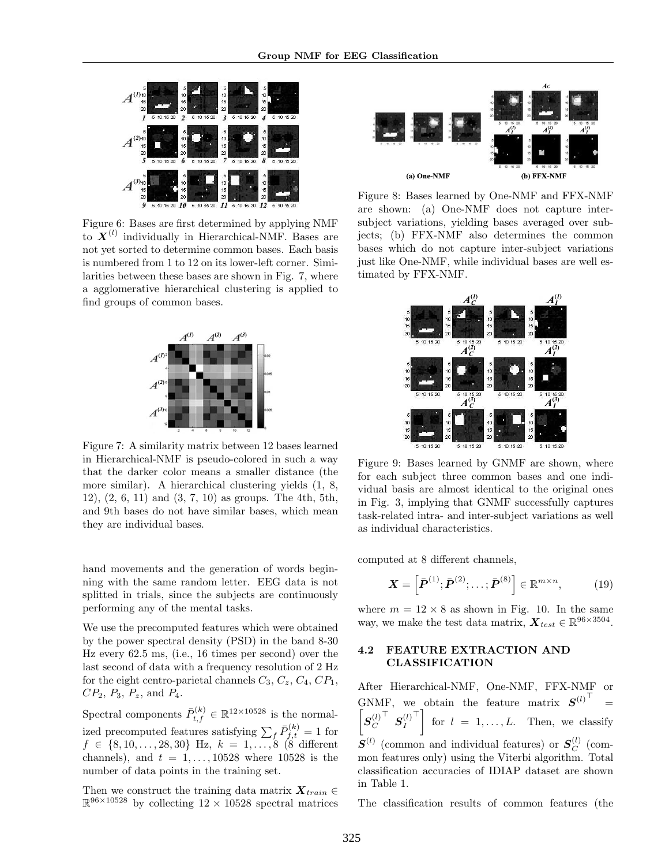

Figure 6: Bases are first determined by applying NMF to  $\boldsymbol{X}^{(l)}$  individually in Hierarchical-NMF. Bases are not yet sorted to determine common bases. Each basis is numbered from 1 to 12 on its lower-left corner. Similarities between these bases are shown in Fig. 7, where a agglomerative hierarchical clustering is applied to find groups of common bases.



Figure 7: A similarity matrix between 12 bases learned in Hierarchical-NMF is pseudo-colored in such a way that the darker color means a smaller distance (the more similar). A hierarchical clustering yields (1, 8, 12), (2, 6, 11) and (3, 7, 10) as groups. The 4th, 5th, and 9th bases do not have similar bases, which mean they are individual bases.

hand movements and the generation of words beginning with the same random letter. EEG data is not splitted in trials, since the subjects are continuously performing any of the mental tasks.

We use the precomputed features which were obtained by the power spectral density (PSD) in the band 8-30 Hz every 62.5 ms, (i.e., 16 times per second) over the last second of data with a frequency resolution of 2 Hz for the eight centro-parietal channels  $C_3, C_2, C_4, CP_1$ ,  $CP_2$ ,  $P_3$ ,  $P_z$ , and  $P_4$ .

Spectral components  $\bar{P}_{t,f}^{(k)} \in \mathbb{R}^{12 \times 10528}$  is the normalized precomputed features satisfying  $\sum_{f} \bar{P}_{f,t}^{(k)} = 1$  for  $f \in \{8, 10, \ldots, 28, 30\}$  Hz,  $k = 1, \ldots, 8$  (8 different channels), and  $t = 1, \ldots, 10528$  where 10528 is the number of data points in the training set.

Then we construct the training data matrix  $\mathbf{X}_{train} \in$  $\mathbb{R}^{96\times10528}$  by collecting  $12\times10528$  spectral matrices



Figure 8: Bases learned by One-NMF and FFX-NMF are shown: (a) One-NMF does not capture intersubject variations, yielding bases averaged over subjects; (b) FFX-NMF also determines the common bases which do not capture inter-subject variations just like One-NMF, while individual bases are well estimated by FFX-NMF.



Figure 9: Bases learned by GNMF are shown, where for each subject three common bases and one individual basis are almost identical to the original ones in Fig. 3, implying that GNMF successfully captures task-related intra- and inter-subject variations as well as individual characteristics.

computed at 8 different channels,

$$
\boldsymbol{X} = \left[ \bar{\boldsymbol{P}}^{(1)}; \bar{\boldsymbol{P}}^{(2)}; \ldots; \bar{\boldsymbol{P}}^{(8)} \right] \in \mathbb{R}^{m \times n},\tag{19}
$$

where  $m = 12 \times 8$  as shown in Fig. 10. In the same way, we make the test data matrix,  $\boldsymbol{X}_{test} \in \mathbb{R}^{96 \times 3504}$ .

### 4.2 FEATURE EXTRACTION AND CLASSIFICATION

After Hierarchical-NMF, One-NMF, FFX-NMF or GNMF, we obtain the feature matrix  $S^{(l)}$ <sup>⊤</sup> GNMF, we obtain the feature matrix  $S^{(l)}$  =  $\left[S_C^{(l)}\right]$ <sup>T</sup>  $S_I^{(l)}$  for  $l = 1, ..., L$ . Then, we classify  $^\top$   $S_I^{(l)}$  $\mathbb{T}$  for  $l = 1, \ldots, L$ . Then, we classify  $S^{(l)}$  (common and individual features) or  $S_C^{(l)}$  (common features only) using the Viterbi algorithm. Total classification accuracies of IDIAP dataset are shown in Table 1.

The classification results of common features (the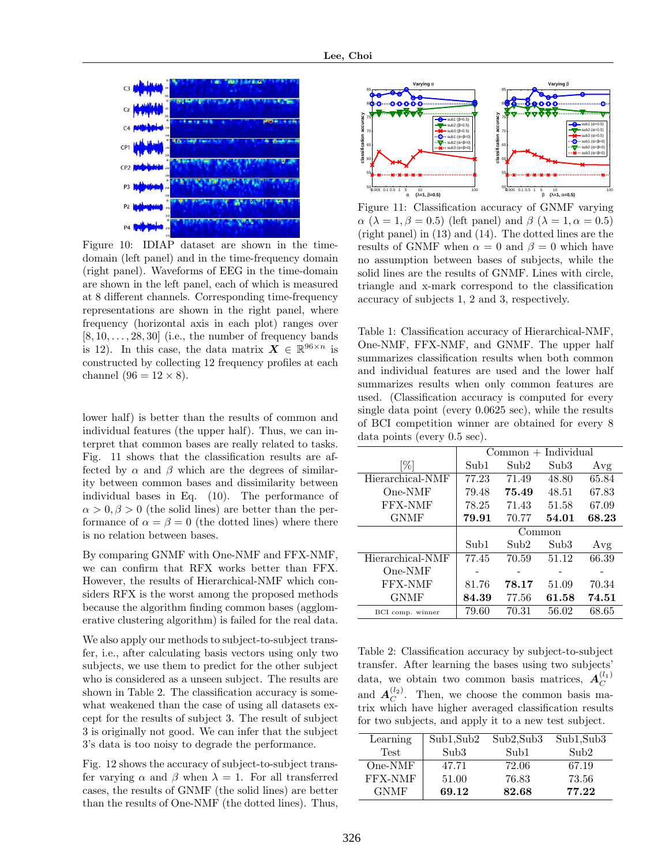

Figure 10: IDIAP dataset are shown in the timedomain (left panel) and in the time-frequency domain (right panel). Waveforms of EEG in the time-domain are shown in the left panel, each of which is measured at 8 different channels. Corresponding time-frequency representations are shown in the right panel, where frequency (horizontal axis in each plot) ranges over  $[8, 10, \ldots, 28, 30]$  (i.e., the number of frequency bands is 12). In this case, the data matrix  $\boldsymbol{X} \in \mathbb{R}^{96 \times n}$  is constructed by collecting 12 frequency profiles at each channel  $(96 = 12 \times 8)$ .

lower half) is better than the results of common and individual features (the upper half). Thus, we can interpret that common bases are really related to tasks. Fig. 11 shows that the classification results are affected by  $\alpha$  and  $\beta$  which are the degrees of similarity between common bases and dissimilarity between individual bases in Eq. (10). The performance of  $\alpha > 0, \beta > 0$  (the solid lines) are better than the performance of  $\alpha = \beta = 0$  (the dotted lines) where there is no relation between bases.

By comparing GNMF with One-NMF and FFX-NMF, we can confirm that RFX works better than FFX. However, the results of Hierarchical-NMF which considers RFX is the worst among the proposed methods because the algorithm finding common bases (agglomerative clustering algorithm) is failed for the real data.

We also apply our methods to subject-to-subject transfer, i.e., after calculating basis vectors using only two subjects, we use them to predict for the other subject who is considered as a unseen subject. The results are shown in Table 2. The classification accuracy is somewhat weakened than the case of using all datasets except for the results of subject 3. The result of subject 3 is originally not good. We can infer that the subject 3's data is too noisy to degrade the performance.

Fig. 12 shows the accuracy of subject-to-subject transfer varying  $\alpha$  and  $\beta$  when  $\lambda = 1$ . For all transferred cases, the results of GNMF (the solid lines) are better than the results of One-NMF (the dotted lines). Thus,



Figure 11: Classification accuracy of GNMF varying  $\alpha$  ( $\lambda = 1, \beta = 0.5$ ) (left panel) and  $\beta$  ( $\lambda = 1, \alpha = 0.5$ ) (right panel) in (13) and (14). The dotted lines are the results of GNMF when  $\alpha = 0$  and  $\beta = 0$  which have no assumption between bases of subjects, while the solid lines are the results of GNMF. Lines with circle, triangle and x-mark correspond to the classification accuracy of subjects 1, 2 and 3, respectively.

Table 1: Classification accuracy of Hierarchical-NMF, One-NMF, FFX-NMF, and GNMF. The upper half summarizes classification results when both common and individual features are used and the lower half summarizes results when only common features are used. (Classification accuracy is computed for every single data point (every 0.0625 sec), while the results of BCI competition winner are obtained for every 8 data points (every 0.5 sec).

|                  | $Common + Individual$ |       |       |       |
|------------------|-----------------------|-------|-------|-------|
| [%]              | Sub1                  | Sub2  | Sub3  | Avg   |
| Hierarchical-NMF | 77.23                 | 71.49 | 48.80 | 65.84 |
| One-NMF          | 79.48                 | 75.49 | 48.51 | 67.83 |
| <b>FFX-NMF</b>   | 78.25                 | 71.43 | 51.58 | 67.09 |
| <b>GNMF</b>      | 79.91                 | 70.77 | 54.01 | 68.23 |
|                  | Common                |       |       |       |
|                  | Sub1                  | Sub2  | Sub3  | Avg   |
| Hierarchical-NMF | 77.45                 | 70.59 | 51.12 | 66.39 |
| $One-NMF$        |                       |       |       |       |
| <b>FFX-NMF</b>   | 81.76                 | 78.17 | 51.09 | 70.34 |
| <b>GNMF</b>      | 84.39                 | 77.56 | 61.58 | 74.51 |
| BCI comp. winner | 79.60                 | 70.31 | 56.02 | 68.65 |

Table 2: Classification accuracy by subject-to-subject transfer. After learning the bases using two subjects' data, we obtain two common basis matrices,  $A_C^{(l_1)}$ and  $A_C^{(l_2)}$ . Then, we choose the common basis matrix which have higher averaged classification results for two subjects, and apply it to a new test subject.

| Learning    | Sub1,Sub2        | Sub2,Sub3 | Sub1,Sub3       |
|-------------|------------------|-----------|-----------------|
| <b>Test</b> | Sub <sub>3</sub> | Sub1      | $\mathrm{Sub2}$ |
| One-NMF     | 47.71            | 72.06     | 67.19           |
| FFX-NMF     | 51.00            | 76.83     | 73.56           |
| <b>GNMF</b> | 69.12            | 82.68     | 77.22           |